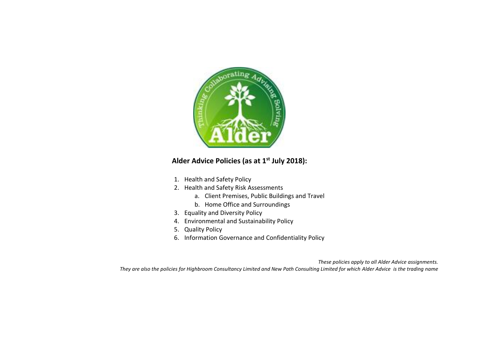

### **Alder Advice Policies (as at 1st July 2018):**

- 1. Health and Safety Policy
- 2. Health and Safety Risk Assessments
	- a. Client Premises, Public Buildings and Travel
	- b. Home Office and Surroundings
- 3. Equality and Diversity Policy
- 4. Environmental and Sustainability Policy
- 5. Quality Policy
- 6. Information Governance and Confidentiality Policy

*These policies apply to all Alder Advice assignments. They are also the policies for Highbroom Consultancy Limited and New Path Consulting Limited for which Alder Advice is the trading name*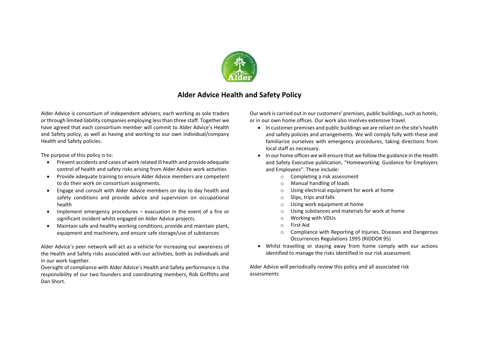

### **Alder Advice Health and Safety Policy**

Alder Advice is consortium of independent advisers; each working as sole traders or through limited liability companies employing less than three staff. Together we have agreed that each consortium member will commit to Alder Advice's Health and Safety policy, as well as having and working to our own individual/company Health and Safety policies.

The purpose of this policy is to:

- Prevent accidents and cases of work related ill health and provide adequate control of health and safety risks arising from Alder Advice work activities
- Provide adequate training to ensure Alder Advice members are competent to do their work on consortium assignments.
- Engage and consult with Alder Advice members on day to day health and safety conditions and provide advice and supervision on occupational health
- Implement emergency procedures evacuation in the event of a fire or significant incident whilst engaged on Alder Advice projects.
- Maintain safe and healthy working conditions, provide and maintain plant, equipment and machinery, and ensure safe storage/use of substances

Alder Advice's peer network will act as a vehicle for increasing our awareness of the Health and Safety risks associated with our activities, both as individuals and in our work together.

Oversight of compliance with Alder Advice's Health and Safety performance is the responsibility of our two founders and coordinating members, Rob Griffiths and Dan Short.

Our work is carried out in our customers' premises, public buildings, such as hotels, or in our own home offices. Our work also involves extensive travel.

- In customer premises and public buildings we are reliant on the site's health and safety policies and arrangements. We will comply fully with these and familiarize ourselves with emergency procedures, taking directions from local staff as necessary.
- In our home offices we will ensure that we follow the guidance in the Health and Safety Executive publication, "Homeworking: Guidance for Employers and Employees". These include:
	- o Completing a risk assessment
	- o Manual handling of loads
	- o Using electrical equipment for work at home
	- o Slips, trips and falls
	- o Using work equipment at home
	- o Using substances and materials for work at home
	- o Working with VDUs
	- o First Aid
	- o Compliance with Reporting of Injuries, Diseases and Dangerous Occurrences Regulations 1995 (RIDDOR 95)
- Whilst travelling or staying away from home comply with our actions identified to manage the risks identified in our risk assessment.

Alder Advice will periodically review this policy and all associated risk assessments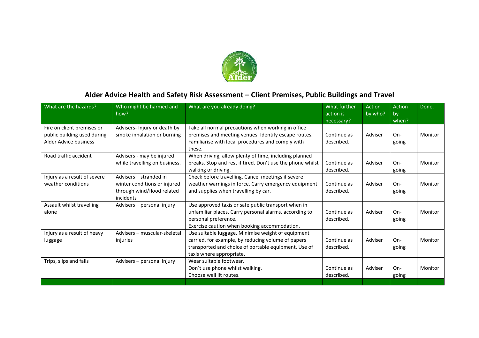

# **Alder Advice Health and Safety Risk Assessment – Client Premises, Public Buildings and Travel**

| What are the hazards?                                                              | Who might be harmed and<br>how?                                                                   | What are you already doing?                                                                                                                                                                  | What further<br>action is<br>necessary? | Action<br>by who? | Action<br>by<br>when? | Done.   |
|------------------------------------------------------------------------------------|---------------------------------------------------------------------------------------------------|----------------------------------------------------------------------------------------------------------------------------------------------------------------------------------------------|-----------------------------------------|-------------------|-----------------------|---------|
| Fire on client premises or<br>public building used during<br>Alder Advice business | Advisers- Injury or death by<br>smoke inhalation or burning                                       | Take all normal precautions when working in office<br>premises and meeting venues. Identify escape routes.<br>Familiarise with local procedures and comply with<br>these.                    | Continue as<br>described.               | Adviser           | On-<br>going          | Monitor |
| Road traffic accident                                                              | Advisers - may be injured<br>while travelling on business.                                        | When driving, allow plenty of time, including planned<br>breaks. Stop and rest if tired. Don't use the phone whilst<br>walking or driving.                                                   | Continue as<br>described.               | Adviser           | $On-$<br>going        | Monitor |
| Injury as a result of severe<br>weather conditions                                 | Advisers - stranded in<br>winter conditions or injured<br>through wind/flood related<br>incidents | Check before travelling. Cancel meetings if severe<br>weather warnings in force. Carry emergency equipment<br>and supplies when travelling by car.                                           | Continue as<br>described.               | Adviser           | On-<br>going          | Monitor |
| Assault whilst travelling<br>alone                                                 | Advisers - personal injury                                                                        | Use approved taxis or safe public transport when in<br>unfamiliar places. Carry personal alarms, according to<br>personal preference.<br>Exercise caution when booking accommodation.        | Continue as<br>described.               | Adviser           | On-<br>going          | Monitor |
| Injury as a result of heavy<br>luggage                                             | Advisers - muscular-skeletal<br>injuries                                                          | Use suitable luggage. Minimise weight of equipment<br>carried, for example, by reducing volume of papers<br>transported and choice of portable equipment. Use of<br>taxis where appropriate. | Continue as<br>described.               | Adviser           | $On-$<br>going        | Monitor |
| Trips, slips and falls                                                             | Advisers - personal injury                                                                        | Wear suitable footwear.<br>Don't use phone whilst walking.<br>Choose well lit routes.                                                                                                        | Continue as<br>described.               | Adviser           | On-<br>going          | Monitor |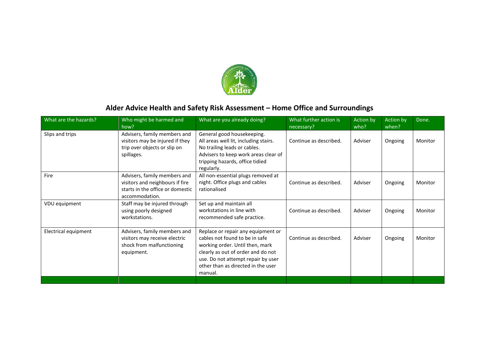

# **Alder Advice Health and Safety Risk Assessment – Home Office and Surroundings**

| What are the hazards? | Who might be harmed and<br>how?                                                                                       | What are you already doing?                                                                                                                                                                                                          | What further action is<br>necessary? | Action by<br>who? | Action by<br>when? | Done.   |
|-----------------------|-----------------------------------------------------------------------------------------------------------------------|--------------------------------------------------------------------------------------------------------------------------------------------------------------------------------------------------------------------------------------|--------------------------------------|-------------------|--------------------|---------|
| Slips and trips       | Advisers, family members and<br>visitors may be injured if they<br>trip over objects or slip on<br>spillages.         | General good housekeeping.<br>All areas well lit, including stairs.<br>No trailing leads or cables.<br>Advisers to keep work areas clear of<br>tripping hazards, office tidied<br>regularly.                                         | Continue as described.               | Adviser           | Ongoing            | Monitor |
| Fire                  | Advisers, family members and<br>visitors and neighbours if fire<br>starts in the office or domestic<br>accommodation. | All non-essential plugs removed at<br>night. Office plugs and cables<br>rationalised                                                                                                                                                 | Continue as described.               | Adviser           | Ongoing            | Monitor |
| VDU equipment         | Staff may be injured through<br>using poorly designed<br>workstations.                                                | Set up and maintain all<br>workstations in line with<br>recommended safe practice.                                                                                                                                                   | Continue as described.               | Adviser           | Ongoing            | Monitor |
| Electrical equipment  | Advisers, family members and<br>visitors may receive electric<br>shock from malfunctioning<br>equipment.              | Replace or repair any equipment or<br>cables not found to be in safe<br>working order. Until then, mark<br>clearly as out of order and do not<br>use. Do not attempt repair by user<br>other than as directed in the user<br>manual. | Continue as described.               | Adviser           | Ongoing            | Monitor |
|                       |                                                                                                                       |                                                                                                                                                                                                                                      |                                      |                   |                    |         |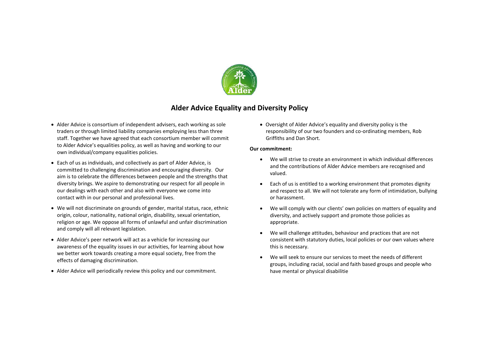

### **Alder Advice Equality and Diversity Policy**

- Alder Advice is consortium of independent advisers, each working as sole traders or through limited liability companies employing less than three staff. Together we have agreed that each consortium member will commit to Alder Advice's equalities policy, as well as having and working to our own individual/company equalities policies.
- Each of us as individuals, and collectively as part of Alder Advice, is committed to challenging discrimination and encouraging diversity. Our aim is to celebrate the differences between people and the strengths that diversity brings. We aspire to demonstrating our respect for all people in our dealings with each other and also with everyone we come into contact with in our personal and professional lives.
- We will not discriminate on grounds of gender, marital status, race, ethnic origin, colour, nationality, national origin, disability, sexual orientation, religion or age. We oppose all forms of unlawful and unfair discrimination and comply will all relevant legislation.
- Alder Advice's peer network will act as a vehicle for increasing our awareness of the equality issues in our activities, for learning about how we better work towards creating a more equal society, free from the effects of damaging discrimination.
- Alder Advice will periodically review this policy and our commitment.

• Oversight of Alder Advice's equality and diversity policy is the responsibility of our two founders and co-ordinating members, Rob Griffiths and Dan Short.

#### **Our commitment:**

- We will strive to create an environment in which individual differences and the contributions of Alder Advice members are recognised and valued.
- Each of us is entitled to a working environment that promotes dignity and respect to all. We will not tolerate any form of intimidation, bullying or harassment.
- We will comply with our clients' own policies on matters of equality and diversity, and actively support and promote those policies as appropriate.
- We will challenge attitudes, behaviour and practices that are not consistent with statutory duties, local policies or our own values where this is necessary.
- We will seek to ensure our services to meet the needs of different groups, including racial, social and faith based groups and people who have mental or physical disabilitie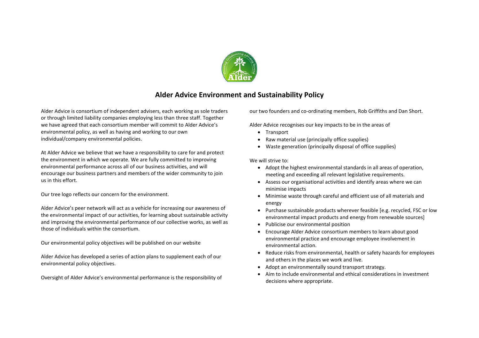

### **Alder Advice Environment and Sustainability Policy**

Alder Advice is consortium of independent advisers, each working as sole traders or through limited liability companies employing less than three staff. Together we have agreed that each consortium member will commit to Alder Advice's environmental policy, as well as having and working to our own individual/company environmental policies.

At Alder Advice we believe that we have a responsibility to care for and protect the environment in which we operate. We are fully committed to improving environmental performance across all of our business activities, and will encourage our business partners and members of the wider community to join us in this effort.

Our tree logo reflects our concern for the environment.

Alder Advice's peer network will act as a vehicle for increasing our awareness of the environmental impact of our activities, for learning about sustainable activity and improving the environmental performance of our collective works, as well as those of individuals within the consortium.

Our environmental policy objectives will be published on our website

Alder Advice has developed a series of action plans to supplement each of our environmental policy objectives.

Oversight of Alder Advice's environmental performance is the responsibility of

our two founders and co-ordinating members, Rob Griffiths and Dan Short.

Alder Advice recognises our key impacts to be in the areas of

- Transport
- Raw material use (principally office supplies)
- Waste generation (principally disposal of office supplies)

We will strive to:

- Adopt the highest environmental standards in all areas of operation, meeting and exceeding all relevant legislative requirements.
- Assess our organisational activities and identify areas where we can minimise impacts
- Minimise waste through careful and efficient use of all materials and energy
- Purchase sustainable products wherever feasible [e.g. recycled, FSC or low environmental impact products and energy from renewable sources]
- Publicise our environmental position
- Encourage Alder Advice consortium members to learn about good environmental practice and encourage employee involvement in environmental action.
- Reduce risks from environmental, health or safety hazards for employees and others in the places we work and live.
- Adopt an environmentally sound transport strategy.
- Aim to include environmental and ethical considerations in investment decisions where appropriate.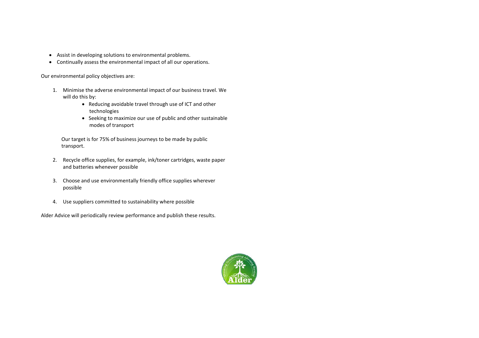- Assist in developing solutions to environmental problems.
- Continually assess the environmental impact of all our operations.

Our environmental policy objectives are:

- 1. Minimise the adverse environmental impact of our business travel. We will do this by:
	- Reducing avoidable travel through use of ICT and other technologies
	- Seeking to maximize our use of public and other sustainable modes of transport

Our target is for 75% of business journeys to be made by public transport.

- 2. Recycle office supplies, for example, ink/toner cartridges, waste paper and batteries whenever possible
- 3. Choose and use environmentally friendly office supplies wherever possible
- 4. Use suppliers committed to sustainability where possible

Alder Advice will periodically review performance and publish these results.

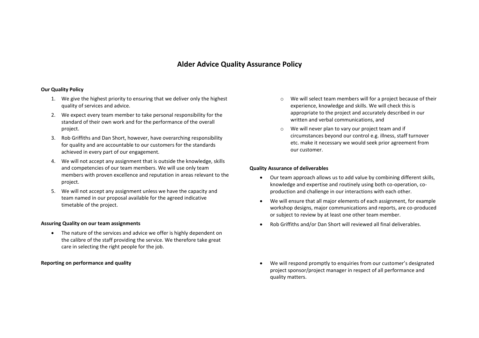### **Alder Advice Quality Assurance Policy**

#### **Our Quality Policy**

- 1. We give the highest priority to ensuring that we deliver only the highest quality of services and advice.
- 2. We expect every team member to take personal responsibility for the standard of their own work and for the performance of the overall project.
- 3. Rob Griffiths and Dan Short, however, have overarching responsibility for quality and are accountable to our customers for the standards achieved in every part of our engagement.
- 4. We will not accept any assignment that is outside the knowledge, skills and competencies of our team members. We will use only team members with proven excellence and reputation in areas relevant to the project.
- 5. We will not accept any assignment unless we have the capacity and team named in our proposal available for the agreed indicative timetable of the project.

#### **Assuring Quality on our team assignments**

• The nature of the services and advice we offer is highly dependent on the calibre of the staff providing the service. We therefore take great care in selecting the right people for the job.

- o We will select team members will for a project because of their experience, knowledge and skills. We will check this is appropriate to the project and accurately described in our written and verbal communications, and
- o We will never plan to vary our project team and if circumstances beyond our control e.g. illness, staff turnover etc. make it necessary we would seek prior agreement from our customer.

#### **Quality Assurance of deliverables**

- Our team approach allows us to add value by combining different skills, knowledge and expertise and routinely using both co-operation, coproduction and challenge in our interactions with each other.
- We will ensure that all major elements of each assignment, for example workshop designs, major communications and reports, are co-produced or subject to review by at least one other team member.
- Rob Griffiths and/or Dan Short will reviewed all final deliverables.
- **Reporting on performance and quality** We will respond promptly to enquiries from our customer's designated project sponsor/project manager in respect of all performance and quality matters.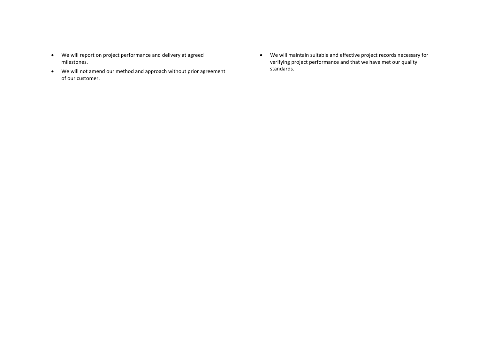- We will report on project performance and delivery at agreed milestones.
- We will not amend our method and approach without prior agreement of our customer.
- We will maintain suitable and effective project records necessary for verifying project performance and that we have met our quality standards.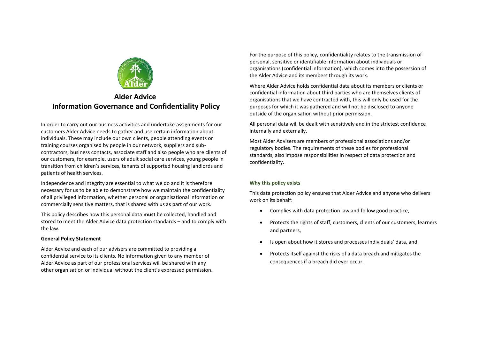

## **Alder Advice Information Governance and Confidentiality Policy**

In order to carry out our business activities and undertake assignments for our customers Alder Advice needs to gather and use certain information about individuals. These may include our own clients, people attending events or training courses organised by people in our network, suppliers and subcontractors, business contacts, associate staff and also people who are clients of our customers, for example, users of adult social care services, young people in transition from children's services, tenants of supported housing landlords and patients of health services.

Independence and integrity are essential to what we do and it is therefore necessary for us to be able to demonstrate how we maintain the confidentiality of all privileged information, whether personal or organisational information or commercially sensitive matters, that is shared with us as part of our work.

This policy describes how this personal data **must** be collected, handled and stored to meet the Alder Advice data protection standards – and to comply with the law.

#### **General Policy Statement**

Alder Advice and each of our advisers are committed to providing a confidential service to its clients. No information given to any member of Alder Advice as part of our professional services will be shared with any other organisation or individual without the client's expressed permission. For the purpose of this policy, confidentiality relates to the transmission of personal, sensitive or identifiable information about individuals or organisations (confidential information), which comes into the possession of the Alder Advice and its members through its work.

Where Alder Advice holds confidential data about its members or clients or confidential information about third parties who are themselves clients of organisations that we have contracted with, this will only be used for the purposes for which it was gathered and will not be disclosed to anyone outside of the organisation without prior permission.

All personal data will be dealt with sensitively and in the strictest confidence internally and externally.

Most Alder Advisers are members of professional associations and/or regulatory bodies. The requirements of these bodies for professional standards, also impose responsibilities in respect of data protection and confidentiality.

#### **Why this policy exists**

This data protection policy ensures that Alder Advice and anyone who delivers work on its behalf:

- Complies with data protection law and follow good practice,
- Protects the rights of staff, customers, clients of our customers, learners and partners,
- Is open about how it stores and processes individuals' data, and
- Protects itself against the risks of a data breach and mitigates the consequences if a breach did ever occur.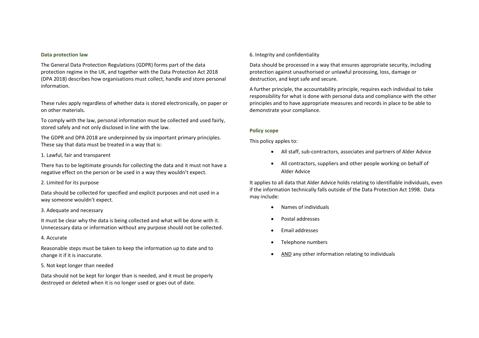#### **Data protection law**

The General Data Protection Regulations (GDPR) forms part of the data protection regime in the UK, and together with the Data Protection Act 2018 (DPA 2018) describes how organisations must collect, handle and store personal information.

These rules apply regardless of whether data is stored electronically, on paper or on other materials.

To comply with the law, personal information must be collected and used fairly, stored safely and not only disclosed in line with the law.

The GDPR and DPA 2018 are underpinned by six important primary principles. These say that data must be treated in a way that is:

#### 1. Lawful, fair and transparent

There has to be legitimate grounds for collecting the data and it must not have a negative effect on the person or be used in a way they wouldn't expect.

#### 2. Limited for its purpose

Data should be collected for specified and explicit purposes and not used in a way someone wouldn't expect.

#### 3. Adequate and necessary

It must be clear why the data is being collected and what will be done with it. Unnecessary data or information without any purpose should not be collected.

#### 4. Accurate

Reasonable steps must be taken to keep the information up to date and to change it if it is inaccurate.

#### 5. Not kept longer than needed

Data should not be kept for longer than is needed, and it must be properly destroyed or deleted when it is no longer used or goes out of date.

#### 6. Integrity and confidentiality

Data should be processed in a way that ensures appropriate security, including protection against unauthorised or unlawful processing, loss, damage or destruction, and kept safe and secure.

A further principle, the accountability principle, requires each individual to take responsibility for what is done with personal data and compliance with the other principles and to have appropriate measures and records in place to be able to demonstrate your compliance.

#### **Policy scope**

This policy apples to:

- All staff, sub-contractors, associates and partners of Alder Advice
- All contractors, suppliers and other people working on behalf of Alder Advice

It applies to all data that Alder Advice holds relating to identifiable individuals, even if the information technically falls outside of the Data Protection Act 1998. Data may include:

- Names of individuals
- Postal addresses
- Email addresses
- Telephone numbers
- AND any other information relating to individuals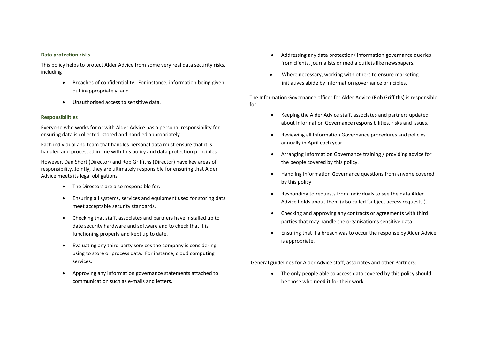#### **Data protection risks**

This policy helps to protect Alder Advice from some very real data security risks, including

- Breaches of confidentiality. For instance, information being given out inappropriately, and
- Unauthorised access to sensitive data.

#### **Responsibilities**

Everyone who works for or with Alder Advice has a personal responsibility for ensuring data is collected, stored and handled appropriately.

Each individual and team that handles personal data must ensure that it is handled and processed in line with this policy and data protection principles.

However, Dan Short (Director) and Rob Griffiths (Director) have key areas of responsibility. Jointly, they are ultimately responsible for ensuring that Alder Advice meets its legal obligations.

- The Directors are also responsible for:
- Ensuring all systems, services and equipment used for storing data meet acceptable security standards.
- Checking that staff, associates and partners have installed up to date security hardware and software and to check that it is functioning properly and kept up to date.
- Evaluating any third-party services the company is considering using to store or process data. For instance, cloud computing services.
- Approving any information governance statements attached to communication such as e-mails and letters.
- Addressing any data protection/ information governance queries from clients, journalists or media outlets like newspapers.
- Where necessary, working with others to ensure marketing initiatives abide by information governance principles.

The Information Governance officer for Alder Advice (Rob Griffiths) is responsible for:

- Keeping the Alder Advice staff, associates and partners updated about Information Governance responsibilities, risks and issues.
- Reviewing all Information Governance procedures and policies annually in April each year.
- Arranging Information Governance training / providing advice for the people covered by this policy.
- Handling Information Governance questions from anyone covered by this policy.
- Responding to requests from individuals to see the data Alder Advice holds about them (also called 'subject access requests').
- Checking and approving any contracts or agreements with third parties that may handle the organisation's sensitive data.
- Ensuring that if a breach was to occur the response by Alder Advice is appropriate.

General guidelines for Alder Advice staff, associates and other Partners:

• The only people able to access data covered by this policy should be those who **need it** for their work.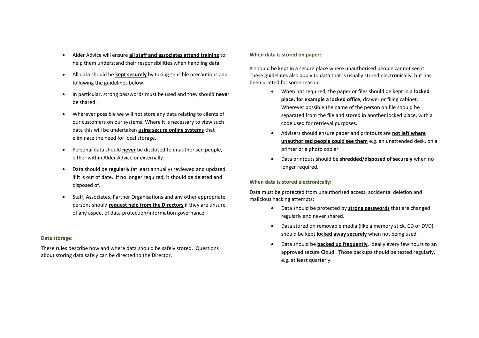- Alder Advice will ensure **all staff and associates attend training** to help them understand their responsibilities when handling data.
- All data should be **kept securely** by taking sensible precautions and following the guidelines below.
- In particular, strong passwords must be used and they should **never** be shared.
- Wherever possible we will not store any data relating to clients of our customers on our systems. Where it is necessary to view such data this will be undertaken **using secure online systems** that eliminate the need for local storage.
- Personal data should **never** be disclosed to unauthorised people, either within Alder Advice or externally.
- Data should be **regularly** (at least annually) reviewed and updated if it is out of date. If no longer required, it should be deleted and disposed of.
- Staff, Associates, Partner Organisations and any other appropriate persons should **request help from the Directors** if they are unsure of any aspect of data protection/information governance.

#### **Data storage:**

These rules describe how and where data should be safely stored. Questions about storing data safely can be directed to the Director.

#### **When data is stored on paper:**

It should be kept in a secure place where unauthorised people cannot see it. These guidelines also apply to data that is usually stored electronically, but has been printed for some reason:

- When not required, the paper or files should be kept in a **locked place, for example a locked office,** drawer or filing cabinet. Wherever possible the name of the person on file should be separated from the file and stored in another locked place, with a code used for retrieval purposes.
- Advisers should ensure paper and printouts are **not left where unauthorised people could see them** e.g. an unattended desk, on a printer or a photo copier
- Data printouts should be **shredded/disposed of securely** when no longer required.

#### **When data is stored electronically:**

Data must be protected from unauthorised access, accidental deletion and malicious hacking attempts:

- Data should be protected by **strong passwords** that are changed regularly and never shared.
- Data stored on removable media (like a memory stick, CD or DVD) should be kept **locked away securely** when not being used.
- Data should be **backed up frequently**, ideally every few hours to an approved secure Cloud. Those backups should be tested regularly, e.g. at least quarterly.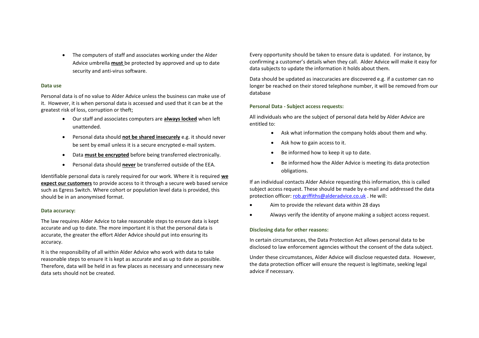• The computers of staff and associates working under the Alder Advice umbrella **must** be protected by approved and up to date security and anti-virus software.

#### **Data use**

Personal data is of no value to Alder Advice unless the business can make use of it. However, it is when personal data is accessed and used that it can be at the greatest risk of loss, corruption or theft;

- Our staff and associates computers are **always locked** when left unattended.
- Personal data should **not be shared insecurely** e.g. it should never be sent by email unless it is a secure encrypted e-mail system.
- Data **must be encrypted** before being transferred electronically.
- Personal data should **never** be transferred outside of the EEA.

Identifiable personal data is rarely required for our work. Where it is required **we expect our customers** to provide access to it through a secure web based service such as Egress Switch. Where cohort or population level data is provided, this should be in an anonymised format.

#### **Data accuracy:**

The law requires Alder Advice to take reasonable steps to ensure data is kept accurate and up to date. The more important it is that the personal data is accurate, the greater the effort Alder Advice should put into ensuring its accuracy.

It is the responsibility of all within Alder Advice who work with data to take reasonable steps to ensure it is kept as accurate and as up to date as possible. Therefore, data will be held in as few places as necessary and unnecessary new data sets should not be created.

Every opportunity should be taken to ensure data is updated. For instance, by confirming a customer's details when they call. Alder Advice will make it easy for data subjects to update the information it holds about them.

Data should be updated as inaccuracies are discovered e.g. if a customer can no longer be reached on their stored telephone number, it will be removed from our database

#### **Personal Data - Subject access requests:**

All individuals who are the subject of personal data held by Alder Advice are entitled to:

- Ask what information the company holds about them and why.
- Ask how to gain access to it.
- Be informed how to keep it up to date.
- Be informed how the Alder Advice is meeting its data protection obligations.

If an individual contacts Alder Advice requesting this information, this is called subject access request. These should be made by e-mail and addressed the data protection officer: [rob.griffiths@alderadvice.co.uk](mailto:rob.griffiths@alderadvice.co.uk) . He will:

- Aim to provide the relevant data within 28 days
- Always verify the identity of anyone making a subject access request.

#### **Disclosing data for other reasons:**

In certain circumstances, the Data Protection Act allows personal data to be disclosed to law enforcement agencies without the consent of the data subject.

Under these circumstances, Alder Advice will disclose requested data. However, the data protection officer will ensure the request is legitimate, seeking legal advice if necessary.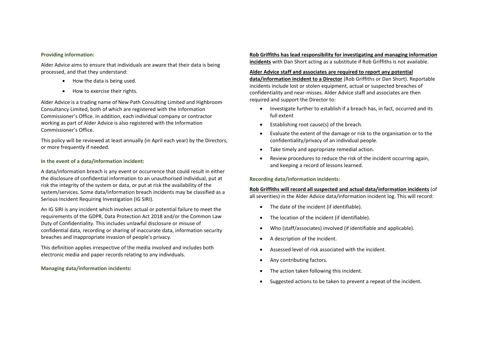#### **Providing information:**

Alder Advice aims to ensure that individuals are aware that their data is being processed, and that they understand:

- How the data is being used.
- How to exercise their rights.

Alder Advice is a trading name of New Path Consulting Limited and Highbroom Consultancy Limited, both of which are registered with the Information Commissioner's Office. In addition, each individual company or contractor working as part of Alder Advice is also registered with the Information Commissioner's Office.

This policy will be reviewed at least annually (in April each year) by the Directors, or more frequently if needed.

#### **In the event of a data/information incident:**

A data/information breach is any event or occurrence that could result in either the disclosure of confidential information to an unauthorised individual, put at risk the integrity of the system or data, or put at risk the availability of the system/services. Some data/information breach incidents may be classified as a Serious Incident Requiring Investigation (IG SIRI).

An IG SIRI is any incident which involves actual or potential failure to meet the requirements of the GDPR, Data Protection Act 2018 and/or the Common Law Duty of Confidentiality. This includes unlawful disclosure or misuse of confidential data, recording or sharing of inaccurate data, information security breaches and inappropriate invasion of people's privacy.

This definition applies irrespective of the media involved and includes both electronic media and paper records relating to any individuals.

#### **Managing data/information incidents:**

**Rob Griffiths has lead responsibility for investigating and managing information incidents** with Dan Short acting as a substitute if Rob Griffiths is not available.

#### **Alder Advice staff and associates are required to report any potential**

**data/information incident to a Director** (Rob Griffiths or Dan Short). Reportable incidents include lost or stolen equipment, actual or suspected breaches of confidentiality and near-misses. Alder Advice staff and associates are then required and support the Director to:

- Investigate further to establish if a breach has, in fact, occurred and its full extent
- Establishing root cause(s) of the breach.
- Evaluate the extent of the damage or risk to the organisation or to the confidentiality/privacy of an individual people.
- Take timely and appropriate remedial action.
- Review procedures to reduce the risk of the incident occurring again, and keeping a record of lessons learned.

#### **Recording data/information incidents:**

### **Rob Griffiths will record all suspected and actual data/information incidents** (of

all severities) in the Alder Advice data/information incident log. This will record:

- The date of the incident (if identifiable).
- The location of the incident (if identifiable).
- Who (staff/associates) involved (if identifiable and applicable).
- A description of the incident.
- Assessed level of risk associated with the incident.
- Any contributing factors.
- The action taken following this incident.
- Suggested actions to be taken to prevent a repeat of the incident.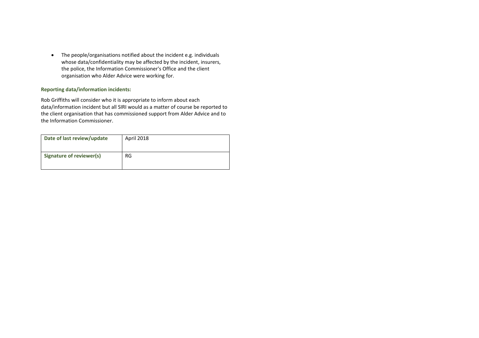• The people/organisations notified about the incident e.g. individuals whose data/confidentiality may be affected by the incident, insurers, the police, the Information Commissioner's Office and the client organisation who Alder Advice were working for.

#### **Reporting data/information incidents:**

Rob Griffiths will consider who it is appropriate to inform about each data/information incident but all SIRI would as a matter of course be reported to the client organisation that has commissioned support from Alder Advice and to the Information Commissioner.

| Date of last review/update | April 2018 |
|----------------------------|------------|
| Signature of reviewer(s)   | RG.        |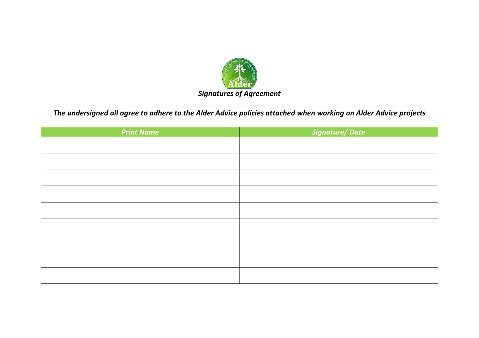

# *The undersigned all agree to adhere to the Alder Advice policies attached when working on Alder Advice projects*

| <b>Print Name</b> | Signature/Date |
|-------------------|----------------|
|                   |                |
|                   |                |
|                   |                |
|                   |                |
|                   |                |
|                   |                |
|                   |                |
|                   |                |
|                   |                |